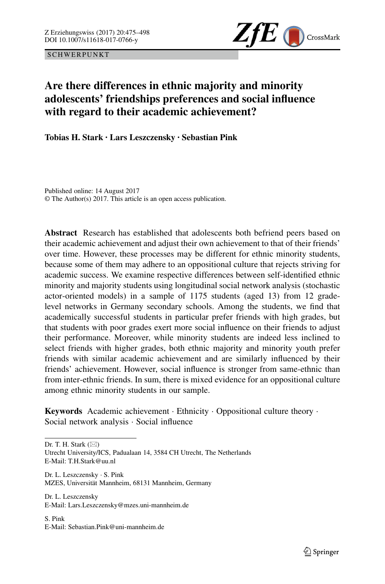SCHWERPUNKT



# **Are there differences in ethnic majority and minority adolescents' friendships preferences and social influence with regard to their academic achievement?**

**Tobias H. Stark · Lars Leszczensky · Sebastian Pink**

Published online: 14 August 2017 © The Author(s) 2017. This article is an open access publication.

**Abstract** Research has established that adolescents both befriend peers based on their academic achievement and adjust their own achievement to that of their friends' over time. However, these processes may be different for ethnic minority students, because some of them may adhere to an oppositional culture that rejects striving for academic success. We examine respective differences between self-identified ethnic minority and majority students using longitudinal social network analysis (stochastic actor-oriented models) in a sample of 1175 students (aged 13) from 12 gradelevel networks in Germany secondary schools. Among the students, we find that academically successful students in particular prefer friends with high grades, but that students with poor grades exert more social influence on their friends to adjust their performance. Moreover, while minority students are indeed less inclined to select friends with higher grades, both ethnic majority and minority youth prefer friends with similar academic achievement and are similarly influenced by their friends' achievement. However, social influence is stronger from same-ethnic than from inter-ethnic friends. In sum, there is mixed evidence for an oppositional culture among ethnic minority students in our sample.

**Keywords** Academic achievement · Ethnicity · Oppositional culture theory · Social network analysis · Social influence

Dr. T. H. Stark  $(\boxtimes)$ 

Utrecht University/ICS, Padualaan 14, 3584 CH Utrecht, The Netherlands E-Mail: T.H.Stark@uu.nl

Dr. L. Leszczensky · S. Pink MZES, Universität Mannheim, 68131 Mannheim, Germany

Dr. L. Leszczensky E-Mail: Lars.Leszczensky@mzes.uni-mannheim.de

S. Pink E-Mail: Sebastian.Pink@uni-mannheim.de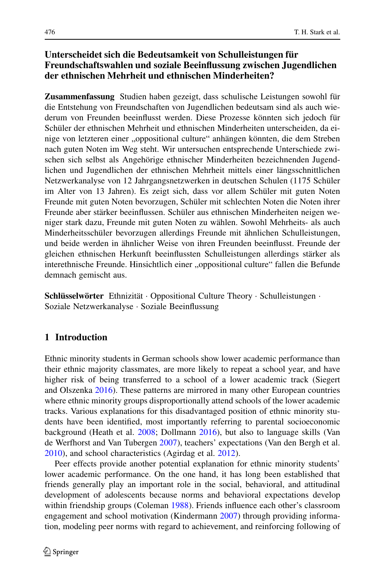# **Unterscheidet sich die Bedeutsamkeit von Schulleistungen für Freundschaftswahlen und soziale Beeinflussung zwischen Jugendlichen der ethnischen Mehrheit und ethnischen Minderheiten?**

**Zusammenfassung** Studien haben gezeigt, dass schulische Leistungen sowohl für die Entstehung von Freundschaften von Jugendlichen bedeutsam sind als auch wiederum von Freunden beeinflusst werden. Diese Prozesse könnten sich jedoch für Schüler der ethnischen Mehrheit und ethnischen Minderheiten unterscheiden, da einige von letzteren einer "oppositional culture" anhängen könnten, die dem Streben nach guten Noten im Weg steht. Wir untersuchen entsprechende Unterschiede zwischen sich selbst als Angehörige ethnischer Minderheiten bezeichnenden Jugendlichen und Jugendlichen der ethnischen Mehrheit mittels einer längsschnittlichen Netzwerkanalyse von 12 Jahrgangsnetzwerken in deutschen Schulen (1175 Schüler im Alter von 13 Jahren). Es zeigt sich, dass vor allem Schüler mit guten Noten Freunde mit guten Noten bevorzugen, Schüler mit schlechten Noten die Noten ihrer Freunde aber stärker beeinflussen. Schüler aus ethnischen Minderheiten neigen weniger stark dazu, Freunde mit guten Noten zu wählen. Sowohl Mehrheits- als auch Minderheitsschüler bevorzugen allerdings Freunde mit ähnlichen Schulleistungen, und beide werden in ähnlicher Weise von ihren Freunden beeinflusst. Freunde der gleichen ethnischen Herkunft beeinflussten Schulleistungen allerdings stärker als interethnische Freunde. Hinsichtlich einer "oppositional culture" fallen die Befunde demnach gemischt aus.

**Schlüsselwörter** Ethnizität · Oppositional Culture Theory · Schulleistungen · Soziale Netzwerkanalyse · Soziale Beeinflussung

# **1 Introduction**

Ethnic minority students in German schools show lower academic performance than their ethnic majority classmates, are more likely to repeat a school year, and have higher risk of being transferred to a school of a lower academic track (Siegert and Olszenka [2016\)](#page-23-0). These patterns are mirrored in many other European countries where ethnic minority groups disproportionally attend schools of the lower academic tracks. Various explanations for this disadvantaged position of ethnic minority students have been identified, most importantly referring to parental socioeconomic background (Heath et al. [2008;](#page-22-0) Dollmann [2016\)](#page-22-1), but also to language skills (Van de Werfhorst and Van Tubergen [2007\)](#page-23-1), teachers' expectations (Van den Bergh et al. [2010\)](#page-23-2), and school characteristics (Agirdag et al. [2012\)](#page-21-0).

Peer effects provide another potential explanation for ethnic minority students' lower academic performance. On the one hand, it has long been established that friends generally play an important role in the social, behavioral, and attitudinal development of adolescents because norms and behavioral expectations develop within friendship groups (Coleman [1988\)](#page-21-1). Friends influence each other's classroom engagement and school motivation (Kindermann [2007\)](#page-22-2) through providing information, modeling peer norms with regard to achievement, and reinforcing following of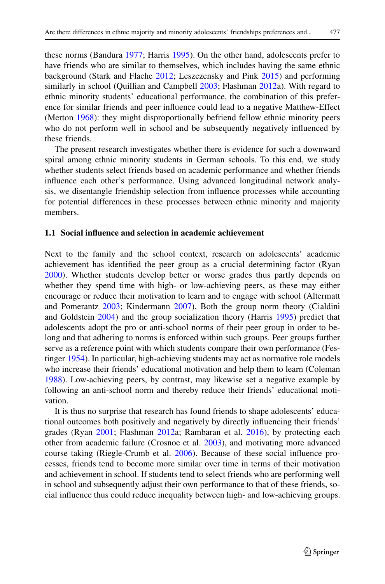these norms (Bandura [1977;](#page-21-2) Harris [1995\)](#page-22-3). On the other hand, adolescents prefer to have friends who are similar to themselves, which includes having the same ethnic background (Stark and Flache [2012;](#page-23-3) Leszczensky and Pink [2015\)](#page-22-4) and performing similarly in school (Quillian and Campbell [2003;](#page-23-4) Flashman [2012a](#page-22-5)). With regard to ethnic minority students' educational performance, the combination of this preference for similar friends and peer influence could lead to a negative Matthew-Effect (Merton [1968\)](#page-22-6): they might disproportionally befriend fellow ethnic minority peers who do not perform well in school and be subsequently negatively influenced by these friends.

The present research investigates whether there is evidence for such a downward spiral among ethnic minority students in German schools. To this end, we study whether students select friends based on academic performance and whether friends influence each other's performance. Using advanced longitudinal network analysis, we disentangle friendship selection from influence processes while accounting for potential differences in these processes between ethnic minority and majority members.

### **1.1 Social influence and selection in academic achievement**

Next to the family and the school context, research on adolescents' academic achievement has identified the peer group as a crucial determining factor (Ryan [2000\)](#page-23-5). Whether students develop better or worse grades thus partly depends on whether they spend time with high- or low-achieving peers, as these may either encourage or reduce their motivation to learn and to engage with school (Altermatt and Pomerantz [2003;](#page-21-3) Kindermann [2007\)](#page-22-2). Both the group norm theory (Cialdini and Goldstein [2004\)](#page-21-4) and the group socialization theory (Harris [1995\)](#page-22-3) predict that adolescents adopt the pro or anti-school norms of their peer group in order to belong and that adhering to norms is enforced within such groups. Peer groups further serve as a reference point with which students compare their own performance (Festinger [1954\)](#page-22-7). In particular, high-achieving students may act as normative role models who increase their friends' educational motivation and help them to learn (Coleman [1988\)](#page-21-1). Low-achieving peers, by contrast, may likewise set a negative example by following an anti-school norm and thereby reduce their friends' educational motivation.

It is thus no surprise that research has found friends to shape adolescents' educational outcomes both positively and negatively by directly influencing their friends' grades (Ryan [2001;](#page-23-6) Flashman [2012a](#page-22-5); Rambaran et al. [2016\)](#page-23-7), by protecting each other from academic failure (Crosnoe et al. [2003\)](#page-21-5), and motivating more advanced course taking (Riegle-Crumb et al. [2006\)](#page-23-8). Because of these social influence processes, friends tend to become more similar over time in terms of their motivation and achievement in school. If students tend to select friends who are performing well in school and subsequently adjust their own performance to that of these friends, social influence thus could reduce inequality between high- and low-achieving groups.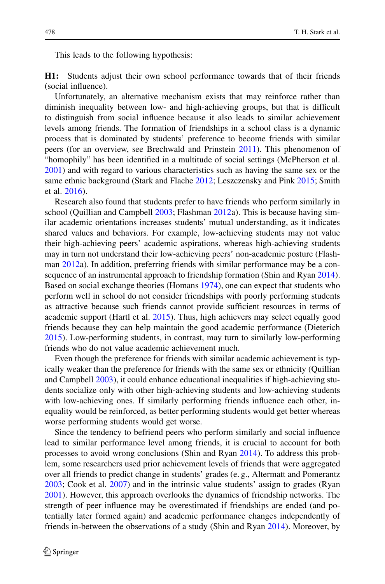This leads to the following hypothesis:

**H1:** Students adjust their own school performance towards that of their friends (social influence).

Unfortunately, an alternative mechanism exists that may reinforce rather than diminish inequality between low- and high-achieving groups, but that is difficult to distinguish from social influence because it also leads to similar achievement levels among friends. The formation of friendships in a school class is a dynamic process that is dominated by students' preference to become friends with similar peers (for an overview, see Brechwald and Prinstein [2011\)](#page-21-6). This phenomenon of "homophily" has been identified in a multitude of social settings (McPherson et al. [2001\)](#page-22-8) and with regard to various characteristics such as having the same sex or the same ethnic background (Stark and Flache [2012;](#page-23-3) Leszczensky and Pink [2015;](#page-22-4) Smith et al. [2016\)](#page-23-9).

Research also found that students prefer to have friends who perform similarly in school (Quillian and Campbell  $2003$ ; Flashman  $2012a$ ). This is because having similar academic orientations increases students' mutual understanding, as it indicates shared values and behaviors. For example, low-achieving students may not value their high-achieving peers' academic aspirations, whereas high-achieving students may in turn not understand their low-achieving peers' non-academic posture (Flashman [2012a](#page-22-5)). In addition, preferring friends with similar performance may be a con-sequence of an instrumental approach to friendship formation (Shin and Ryan [2014\)](#page-23-10). Based on social exchange theories (Homans [1974\)](#page-22-9), one can expect that students who perform well in school do not consider friendships with poorly performing students as attractive because such friends cannot provide sufficient resources in terms of academic support (Hartl et al. [2015\)](#page-22-10). Thus, high achievers may select equally good friends because they can help maintain the good academic performance (Dieterich [2015\)](#page-22-11). Low-performing students, in contrast, may turn to similarly low-performing friends who do not value academic achievement much.

Even though the preference for friends with similar academic achievement is typically weaker than the preference for friends with the same sex or ethnicity (Quillian and Campbell [2003\)](#page-23-4), it could enhance educational inequalities if high-achieving students socialize only with other high-achieving students and low-achieving students with low-achieving ones. If similarly performing friends influence each other, inequality would be reinforced, as better performing students would get better whereas worse performing students would get worse.

Since the tendency to befriend peers who perform similarly and social influence lead to similar performance level among friends, it is crucial to account for both processes to avoid wrong conclusions (Shin and Ryan [2014\)](#page-23-10). To address this problem, some researchers used prior achievement levels of friends that were aggregated over all friends to predict change in students' grades (e. g., Altermatt and Pomerantz [2003;](#page-21-3) Cook et al. [2007\)](#page-21-7) and in the intrinsic value students' assign to grades (Ryan [2001\)](#page-23-6). However, this approach overlooks the dynamics of friendship networks. The strength of peer influence may be overestimated if friendships are ended (and potentially later formed again) and academic performance changes independently of friends in-between the observations of a study (Shin and Ryan [2014\)](#page-23-10). Moreover, by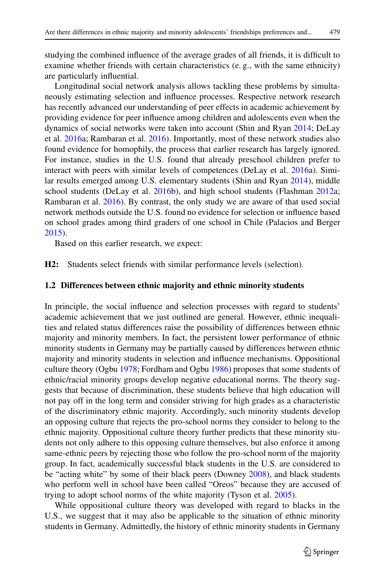studying the combined influence of the average grades of all friends, it is difficult to examine whether friends with certain characteristics (e. g., with the same ethnicity) are particularly influential.

Longitudinal social network analysis allows tackling these problems by simultaneously estimating selection and influence processes. Respective network research has recently advanced our understanding of peer effects in academic achievement by providing evidence for peer influence among children and adolescents even when the dynamics of social networks were taken into account (Shin and Ryan [2014;](#page-23-10) DeLay et al. [2016a](#page-21-8); Rambaran et al. [2016\)](#page-23-7). Importantly, most of these network studies also found evidence for homophily, the process that earlier research has largely ignored. For instance, studies in the U.S. found that already preschool children prefer to interact with peers with similar levels of competences (DeLay et al. [2016a](#page-21-8)). Similar results emerged among U.S. elementary students (Shin and Ryan [2014\)](#page-23-10), middle school students (DeLay et al. [2016b](#page-22-12)), and high school students (Flashman [2012a](#page-22-5); Rambaran et al. [2016\)](#page-23-7). By contrast, the only study we are aware of that used social network methods outside the U.S. found no evidence for selection or influence based on school grades among third graders of one school in Chile (Palacios and Berger [2015\)](#page-22-13).

Based on this earlier research, we expect:

**H2:** Students select friends with similar performance levels (selection).

### **1.2 Differences between ethnic majority and ethnic minority students**

In principle, the social influence and selection processes with regard to students' academic achievement that we just outlined are general. However, ethnic inequalities and related status differences raise the possibility of differences between ethnic majority and minority members. In fact, the persistent lower performance of ethnic minority students in Germany may be partially caused by differences between ethnic majority and minority students in selection and influence mechanisms. Oppositional culture theory (Ogbu [1978;](#page-22-14) Fordham and Ogbu [1986\)](#page-22-15) proposes that some students of ethnic/racial minority groups develop negative educational norms. The theory suggests that because of discrimination, these students believe that high education will not pay off in the long term and consider striving for high grades as a characteristic of the discriminatory ethnic majority. Accordingly, such minority students develop an opposing culture that rejects the pro-school norms they consider to belong to the ethnic majority. Oppositional culture theory further predicts that these minority students not only adhere to this opposing culture themselves, but also enforce it among same-ethnic peers by rejecting those who follow the pro-school norm of the majority group. In fact, academically successful black students in the U.S. are considered to be "acting white" by some of their black peers (Downey [2008\)](#page-22-16), and black students who perform well in school have been called "Oreos" because they are accused of trying to adopt school norms of the white majority (Tyson et al. [2005\)](#page-23-11).

While oppositional culture theory was developed with regard to blacks in the U.S., we suggest that it may also be applicable to the situation of ethnic minority students in Germany. Admittedly, the history of ethnic minority students in Germany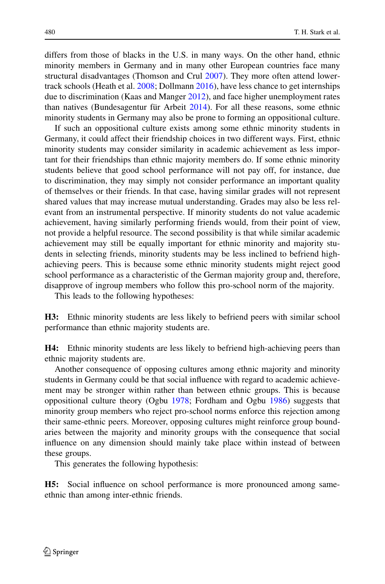differs from those of blacks in the U.S. in many ways. On the other hand, ethnic minority members in Germany and in many other European countries face many structural disadvantages (Thomson and Crul [2007\)](#page-23-12). They more often attend lowertrack schools (Heath et al. [2008;](#page-22-0) Dollmann [2016\)](#page-22-1), have less chance to get internships due to discrimination (Kaas and Manger [2012\)](#page-22-17), and face higher unemployment rates than natives (Bundesagentur für Arbeit [2014\)](#page-21-9). For all these reasons, some ethnic minority students in Germany may also be prone to forming an oppositional culture.

If such an oppositional culture exists among some ethnic minority students in Germany, it could affect their friendship choices in two different ways. First, ethnic minority students may consider similarity in academic achievement as less important for their friendships than ethnic majority members do. If some ethnic minority students believe that good school performance will not pay off, for instance, due to discrimination, they may simply not consider performance an important quality of themselves or their friends. In that case, having similar grades will not represent shared values that may increase mutual understanding. Grades may also be less relevant from an instrumental perspective. If minority students do not value academic achievement, having similarly performing friends would, from their point of view, not provide a helpful resource. The second possibility is that while similar academic achievement may still be equally important for ethnic minority and majority students in selecting friends, minority students may be less inclined to befriend highachieving peers. This is because some ethnic minority students might reject good school performance as a characteristic of the German majority group and, therefore, disapprove of ingroup members who follow this pro-school norm of the majority.

This leads to the following hypotheses:

**H3:** Ethnic minority students are less likely to befriend peers with similar school performance than ethnic majority students are.

**H4:** Ethnic minority students are less likely to befriend high-achieving peers than ethnic majority students are.

Another consequence of opposing cultures among ethnic majority and minority students in Germany could be that social influence with regard to academic achievement may be stronger within rather than between ethnic groups. This is because oppositional culture theory (Ogbu [1978;](#page-22-14) Fordham and Ogbu [1986\)](#page-22-15) suggests that minority group members who reject pro-school norms enforce this rejection among their same-ethnic peers. Moreover, opposing cultures might reinforce group boundaries between the majority and minority groups with the consequence that social influence on any dimension should mainly take place within instead of between these groups.

This generates the following hypothesis:

**H5:** Social influence on school performance is more pronounced among sameethnic than among inter-ethnic friends.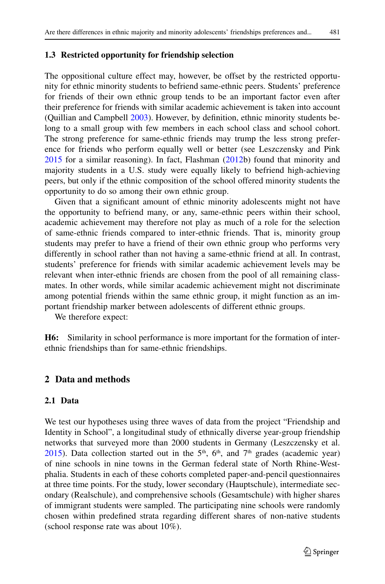# **1.3 Restricted opportunity for friendship selection**

The oppositional culture effect may, however, be offset by the restricted opportunity for ethnic minority students to befriend same-ethnic peers. Students' preference for friends of their own ethnic group tends to be an important factor even after their preference for friends with similar academic achievement is taken into account (Quillian and Campbell [2003\)](#page-23-4). However, by definition, ethnic minority students belong to a small group with few members in each school class and school cohort. The strong preference for same-ethnic friends may trump the less strong preference for friends who perform equally well or better (see Leszczensky and Pink [2015](#page-22-4) for a similar reasoning). In fact, Flashman [\(2012b](#page-22-18)) found that minority and majority students in a U.S. study were equally likely to befriend high-achieving peers, but only if the ethnic composition of the school offered minority students the opportunity to do so among their own ethnic group.

Given that a significant amount of ethnic minority adolescents might not have the opportunity to befriend many, or any, same-ethnic peers within their school, academic achievement may therefore not play as much of a role for the selection of same-ethnic friends compared to inter-ethnic friends. That is, minority group students may prefer to have a friend of their own ethnic group who performs very differently in school rather than not having a same-ethnic friend at all. In contrast, students' preference for friends with similar academic achievement levels may be relevant when inter-ethnic friends are chosen from the pool of all remaining classmates. In other words, while similar academic achievement might not discriminate among potential friends within the same ethnic group, it might function as an important friendship marker between adolescents of different ethnic groups.

We therefore expect:

**H6:** Similarity in school performance is more important for the formation of interethnic friendships than for same-ethnic friendships.

# **2 Data and methods**

# **2.1 Data**

We test our hypotheses using three waves of data from the project "Friendship and Identity in School", a longitudinal study of ethnically diverse year-group friendship networks that surveyed more than 2000 students in Germany (Leszczensky et al.  $2015$ ). Data collection started out in the 5<sup>th</sup>, 6<sup>th</sup>, and 7<sup>th</sup> grades (academic year) of nine schools in nine towns in the German federal state of North Rhine-Westphalia. Students in each of these cohorts completed paper-and-pencil questionnaires at three time points. For the study, lower secondary (Hauptschule), intermediate secondary (Realschule), and comprehensive schools (Gesamtschule) with higher shares of immigrant students were sampled. The participating nine schools were randomly chosen within predefined strata regarding different shares of non-native students (school response rate was about 10%).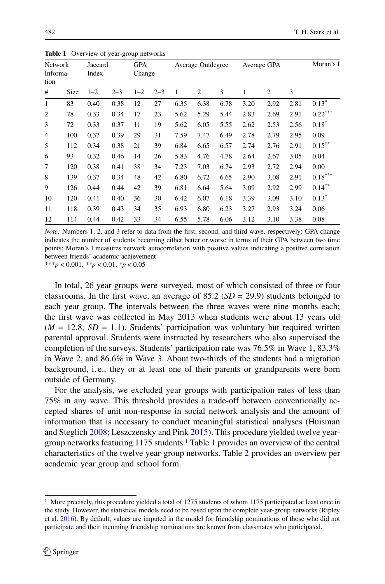| Network<br>Informa-<br>tion |      |         | Jaccard |         | GPA     |      | Average Outdegree |      |      | Average GPA |      |                       |
|-----------------------------|------|---------|---------|---------|---------|------|-------------------|------|------|-------------|------|-----------------------|
|                             |      | Index   |         | Change  |         |      |                   |      |      |             |      |                       |
| #                           | Size | $1 - 2$ | $2 - 3$ | $1 - 2$ | $2 - 3$ | 1    | 2                 | 3    | 1    | 2           | 3    |                       |
| $\mathbf{1}$                | 83   | 0.40    | 0.38    | 12      | 27      | 6.35 | 6.38              | 6.78 | 3.20 | 2.92        | 2.81 | $0.13*$               |
| $\overline{2}$              | 78   | 0.33    | 0.34    | 17      | 23      | 5.62 | 5.29              | 5.44 | 2.83 | 2.69        | 2.91 | $0.22***$             |
| 3                           | 72   | 0.33    | 0.37    | 11      | 19      | 5.62 | 6.05              | 5.55 | 2.62 | 2.53        | 2.56 | $0.18*$               |
| $\overline{4}$              | 100  | 0.37    | 0.39    | 29      | 31      | 7.59 | 7.47              | 6.49 | 2.78 | 2.79        | 2.95 | 0.09                  |
| 5                           | 112  | 0.34    | 0.38    | 21      | 39      | 6.84 | 6.65              | 6.57 | 2.74 | 2.76        | 2.91 | $0.15***$             |
| 6                           | 93   | 0.32    | 0.46    | 14      | 26      | 5.83 | 4.76              | 4.78 | 2.64 | 2.67        | 3.05 | 0.04                  |
| 7                           | 120  | 0.38    | 0.41    | 38      | 34      | 7.23 | 7.03              | 6.74 | 2.93 | 2.72        | 2.94 | 0.00                  |
| 8                           | 139  | 0.37    | 0.34    | 48      | 42      | 6.80 | 6.72              | 6.65 | 2.90 | 3.08        | 2.91 | $0.18^{\ast\ast\ast}$ |
| 9                           | 126  | 0.44    | 0.44    | 42      | 39      | 6.81 | 6.64              | 5.64 | 3.09 | 2.92        | 2.99 | $0.14***$             |
| 10                          | 120  | 0.41    | 0.40    | 36      | 30      | 6.42 | 6.07              | 6.18 | 3.39 | 3.09        | 3.10 | $0.13*$               |
| 11                          | 118  | 0.39    | 0.43    | 34      | 35      | 6.93 | 6.80              | 6.23 | 3.27 | 2.93        | 3.24 | 0.06                  |
| 12                          | 114  | 0.44    | 0.42    | 33      | 34      | 6.55 | 5.78              | 6.06 | 3.12 | 3.10        | 3.38 | 0.08                  |

<span id="page-7-1"></span>**Table 1** Overview of year-group networks

*Note:* Numbers 1, 2, and 3 refer to data from the first, second, and third wave, respectively; GPA change indicates the number of students becoming either better or worse in terms of their GPA between two time points; Moran's I measures network autocorrelation with positive values indicating a positive correlation between friends' academic achievement

\*\*\**p* < 0.001, *\*\*p* < 0.01, *\*p* < 0.05

In total, 26 year groups were surveyed, most of which consisted of three or four classrooms. In the first wave, an average of  $85.2$  ( $SD = 29.9$ ) students belonged to each year group. The intervals between the three waves were nine months each; the first wave was collected in May 2013 when students were about 13 years old  $(M = 12.8; SD = 1.1)$ . Students' participation was voluntary but required written parental approval. Students were instructed by researchers who also supervised the completion of the surveys. Students' participation rate was 76.5% in Wave 1, 83.3% in Wave 2, and 86.6% in Wave 3. About two-thirds of the students had a migration background, i. e., they or at least one of their parents or grandparents were born outside of Germany.

For the analysis, we excluded year groups with participation rates of less than 75% in any wave. This threshold provides a trade-off between conventionally accepted shares of unit non-response in social network analysis and the amount of information that is necessary to conduct meaningful statistical analyses (Huisman and Steglich [2008;](#page-22-20) Leszczensky and Pink [2015\)](#page-22-4). This procedure yielded twelve year-group networks featuring [1](#page-7-1)175 students.<sup>1</sup> Table 1 provides an overview of the central characteristics of the twelve year-group networks. Table [2](#page-8-0) provides an overview per academic year group and school form.

<span id="page-7-0"></span><sup>1</sup> More precisely, this procedure yielded a total of 1275 students of whom 1175 participated at least once in the study. However, the statistical models need to be based upon the complete year-group networks (Ripley et al. [2016\)](#page-23-13). By default, values are imputed in the model for friendship nominations of those who did not participate and their incoming friendship nominations are known from classmates who participated.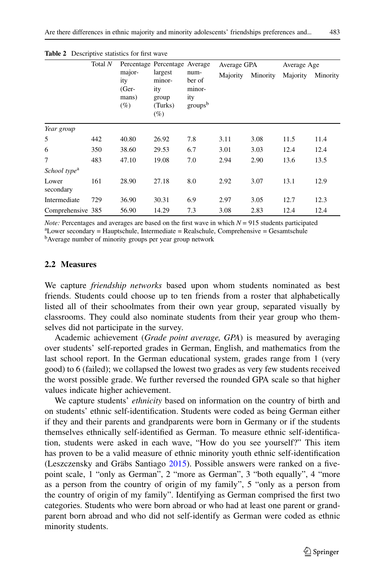|                          | Total N |                                             | Percentage Percentage Average                       |                                                        | Average GPA |          | Average Age |          |
|--------------------------|---------|---------------------------------------------|-----------------------------------------------------|--------------------------------------------------------|-------------|----------|-------------|----------|
|                          |         | major-<br>ity<br>$(Ger-$<br>mans)<br>$(\%)$ | largest<br>minor-<br>ity<br>group<br>(Turks)<br>(%) | num-<br>ber of<br>minor-<br>ity<br>groups <sup>b</sup> | Majority    | Minority | Majority    | Minority |
| Year group               |         |                                             |                                                     |                                                        |             |          |             |          |
| 5                        | 442     | 40.80                                       | 26.92                                               | 7.8                                                    | 3.11        | 3.08     | 11.5        | 11.4     |
| 6                        | 350     | 38.60                                       | 29.53                                               | 6.7                                                    | 3.01        | 3.03     | 12.4        | 12.4     |
| 7                        | 483     | 47.10                                       | 19.08                                               | 7.0                                                    | 2.94        | 2.90     | 13.6        | 13.5     |
| School type <sup>a</sup> |         |                                             |                                                     |                                                        |             |          |             |          |
| Lower<br>secondary       | 161     | 28.90                                       | 27.18                                               | 8.0                                                    | 2.92        | 3.07     | 13.1        | 12.9     |
| Intermediate             | 729     | 36.90                                       | 30.31                                               | 6.9                                                    | 2.97        | 3.05     | 12.7        | 12.3     |

<span id="page-8-0"></span>**Table 2** Descriptive statistics for first wave

*Note:* Percentages and averages are based on the first wave in which  $N = 915$  students participated a Lower secondary = Hauptschule, Intermediate = Realschule, Comprehensive = Gesamtschule

Comprehensive 385 56.90 14.29 7.3 3.08 2.83 12.4 12.4

<sup>b</sup>Average number of minority groups per year group network

## **2.2 Measures**

We capture *friendship networks* based upon whom students nominated as best friends. Students could choose up to ten friends from a roster that alphabetically listed all of their schoolmates from their own year group, separated visually by classrooms. They could also nominate students from their year group who themselves did not participate in the survey.

Academic achievement (*Grade point average, GPA*) is measured by averaging over students' self-reported grades in German, English, and mathematics from the last school report. In the German educational system, grades range from 1 (very good) to 6 (failed); we collapsed the lowest two grades as very few students received the worst possible grade. We further reversed the rounded GPA scale so that higher values indicate higher achievement.

We capture students' *ethnicity* based on information on the country of birth and on students' ethnic self-identification. Students were coded as being German either if they and their parents and grandparents were born in Germany or if the students themselves ethnically self-identified as German. To measure ethnic self-identification, students were asked in each wave, "How do you see yourself?" This item has proven to be a valid measure of ethnic minority youth ethnic self-identification (Leszczensky and Gräbs Santiago [2015\)](#page-22-21). Possible answers were ranked on a fivepoint scale, 1 "only as German", 2 "more as German", 3 "both equally", 4 "more as a person from the country of origin of my family", 5 "only as a person from the country of origin of my family". Identifying as German comprised the first two categories. Students who were born abroad or who had at least one parent or grandparent born abroad and who did not self-identify as German were coded as ethnic minority students.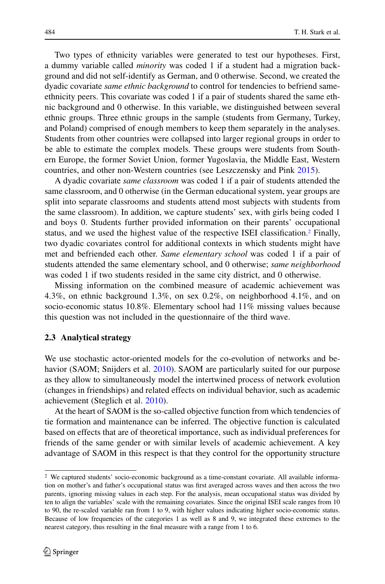Two types of ethnicity variables were generated to test our hypotheses. First, a dummy variable called *minority* was coded 1 if a student had a migration background and did not self-identify as German, and 0 otherwise. Second, we created the dyadic covariate *same ethnic background* to control for tendencies to befriend sameethnicity peers. This covariate was coded 1 if a pair of students shared the same ethnic background and 0 otherwise. In this variable, we distinguished between several ethnic groups. Three ethnic groups in the sample (students from Germany, Turkey, and Poland) comprised of enough members to keep them separately in the analyses. Students from other countries were collapsed into larger regional groups in order to be able to estimate the complex models. These groups were students from Southern Europe, the former Soviet Union, former Yugoslavia, the Middle East, Western countries, and other non-Western countries (see Leszczensky and Pink [2015\)](#page-22-4).

A dyadic covariate *same classroom* was coded 1 if a pair of students attended the same classroom, and 0 otherwise (in the German educational system, year groups are split into separate classrooms and students attend most subjects with students from the same classroom). In addition, we capture students' sex, with girls being coded 1 and boys 0. Students further provided information on their parents' occupational status, and we used the highest value of the respective ISEI classification[.2](#page-9-0) Finally, two dyadic covariates control for additional contexts in which students might have met and befriended each other. *Same elementary school* was coded 1 if a pair of students attended the same elementary school, and 0 otherwise; *same neighborhood* was coded 1 if two students resided in the same city district, and 0 otherwise.

Missing information on the combined measure of academic achievement was 4.3%, on ethnic background 1.3%, on sex 0.2%, on neighborhood 4.1%, and on socio-economic status 10.8%. Elementary school had 11% missing values because this question was not included in the questionnaire of the third wave.

#### **2.3 Analytical strategy**

We use stochastic actor-oriented models for the co-evolution of networks and behavior (SAOM; Snijders et al. [2010\)](#page-23-14). SAOM are particularly suited for our purpose as they allow to simultaneously model the intertwined process of network evolution (changes in friendships) and related effects on individual behavior, such as academic achievement (Steglich et al. [2010\)](#page-23-15).

At the heart of SAOM is the so-called objective function from which tendencies of tie formation and maintenance can be inferred. The objective function is calculated based on effects that are of theoretical importance, such as individual preferences for friends of the same gender or with similar levels of academic achievement. A key advantage of SAOM in this respect is that they control for the opportunity structure

<span id="page-9-0"></span><sup>2</sup> We captured students' socio-economic background as a time-constant covariate. All available information on mother's and father's occupational status was first averaged across waves and then across the two parents, ignoring missing values in each step. For the analysis, mean occupational status was divided by ten to align the variables' scale with the remaining covariates. Since the original ISEI scale ranges from 10 to 90, the re-scaled variable ran from 1 to 9, with higher values indicating higher socio-economic status. Because of low frequencies of the categories 1 as well as 8 and 9, we integrated these extremes to the nearest category, thus resulting in the final measure with a range from 1 to 6.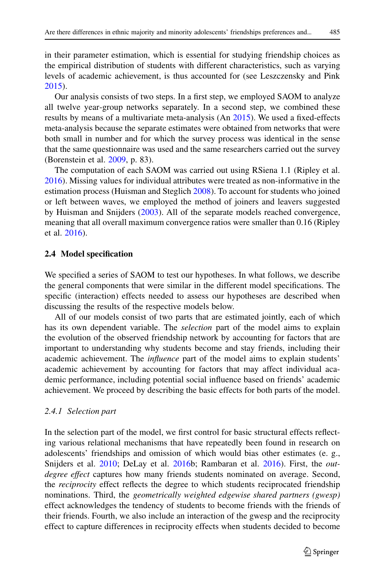in their parameter estimation, which is essential for studying friendship choices as the empirical distribution of students with different characteristics, such as varying levels of academic achievement, is thus accounted for (see Leszczensky and Pink [2015\)](#page-22-4).

Our analysis consists of two steps. In a first step, we employed SAOM to analyze all twelve year-group networks separately. In a second step, we combined these results by means of a multivariate meta-analysis (An [2015\)](#page-21-10). We used a fixed-effects meta-analysis because the separate estimates were obtained from networks that were both small in number and for which the survey process was identical in the sense that the same questionnaire was used and the same researchers carried out the survey (Borenstein et al. [2009,](#page-21-11) p. 83).

The computation of each SAOM was carried out using RSiena 1.1 (Ripley et al. [2016\)](#page-23-13). Missing values for individual attributes were treated as non-informative in the estimation process (Huisman and Steglich [2008\)](#page-22-20). To account for students who joined or left between waves, we employed the method of joiners and leavers suggested by Huisman and Snijders [\(2003\)](#page-22-22). All of the separate models reached convergence, meaning that all overall maximum convergence ratios were smaller than 0.16 (Ripley et al. [2016\)](#page-23-13).

# **2.4 Model specification**

We specified a series of SAOM to test our hypotheses. In what follows, we describe the general components that were similar in the different model specifications. The specific (interaction) effects needed to assess our hypotheses are described when discussing the results of the respective models below.

All of our models consist of two parts that are estimated jointly, each of which has its own dependent variable. The *selection* part of the model aims to explain the evolution of the observed friendship network by accounting for factors that are important to understanding why students become and stay friends, including their academic achievement. The *influence* part of the model aims to explain students' academic achievement by accounting for factors that may affect individual academic performance, including potential social influence based on friends' academic achievement. We proceed by describing the basic effects for both parts of the model.

#### *2.4.1 Selection part*

In the selection part of the model, we first control for basic structural effects reflecting various relational mechanisms that have repeatedly been found in research on adolescents' friendships and omission of which would bias other estimates (e. g., Snijders et al. [2010;](#page-23-14) DeLay et al. [2016b](#page-22-12); Rambaran et al. [2016\)](#page-23-7). First, the *outdegree effect* captures how many friends students nominated on average. Second, the *reciprocity* effect reflects the degree to which students reciprocated friendship nominations. Third, the *geometrically weighted edgewise shared partners (gwesp)* effect acknowledges the tendency of students to become friends with the friends of their friends. Fourth, we also include an interaction of the gwesp and the reciprocity effect to capture differences in reciprocity effects when students decided to become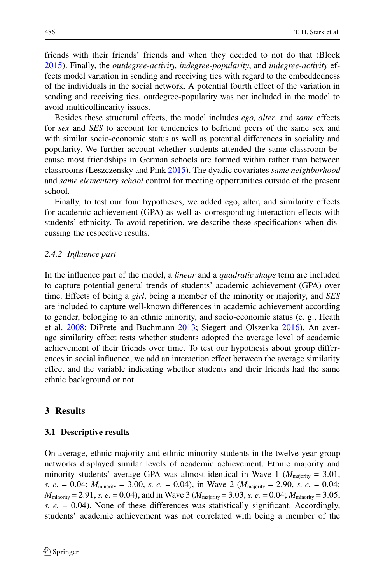friends with their friends' friends and when they decided to not do that (Block [2015\)](#page-21-12). Finally, the *outdegree-activity, indegree-popularity*, and *indegree-activity* effects model variation in sending and receiving ties with regard to the embeddedness of the individuals in the social network. A potential fourth effect of the variation in sending and receiving ties, outdegree-popularity was not included in the model to avoid multicollinearity issues.

Besides these structural effects, the model includes *ego, alter*, and *same* effects for *sex* and *SES* to account for tendencies to befriend peers of the same sex and with similar socio-economic status as well as potential differences in sociality and popularity. We further account whether students attended the same classroom because most friendships in German schools are formed within rather than between classrooms (Leszczensky and Pink [2015\)](#page-22-4). The dyadic covariates *same neighborhood* and *same elementary school* control for meeting opportunities outside of the present school.

Finally, to test our four hypotheses, we added ego, alter, and similarity effects for academic achievement (GPA) as well as corresponding interaction effects with students' ethnicity. To avoid repetition, we describe these specifications when discussing the respective results.

#### *2.4.2 Influence part*

In the influence part of the model, a *linear* and a *quadratic shape* term are included to capture potential general trends of students' academic achievement (GPA) over time. Effects of being a *girl*, being a member of the minority or majority, and *SES* are included to capture well-known differences in academic achievement according to gender, belonging to an ethnic minority, and socio-economic status (e. g., Heath et al. [2008;](#page-22-0) DiPrete and Buchmann [2013;](#page-22-23) Siegert and Olszenka [2016\)](#page-23-0). An average similarity effect tests whether students adopted the average level of academic achievement of their friends over time. To test our hypothesis about group differences in social influence, we add an interaction effect between the average similarity effect and the variable indicating whether students and their friends had the same ethnic background or not.

# **3 Results**

### **3.1 Descriptive results**

On average, ethnic majority and ethnic minority students in the twelve year-group networks displayed similar levels of academic achievement. Ethnic majority and minority students' average GPA was almost identical in Wave 1 ( $M_{\text{majority}} = 3.01$ , *s. e.* = 0.04; *M*minority = 3.00, *s. e.* = 0.04), in Wave 2 (*M*majority = 2.90, *s. e.* = 0.04; *M*<sub>minority</sub> = 2.91, *s. e.* = 0.04), and in Wave 3 ( $M_{\text{majority}} = 3.03$ , *s. e.* = 0.04;  $M_{\text{minority}} = 3.05$ , *s. e.* = 0.04). None of these differences was statistically significant. Accordingly, students' academic achievement was not correlated with being a member of the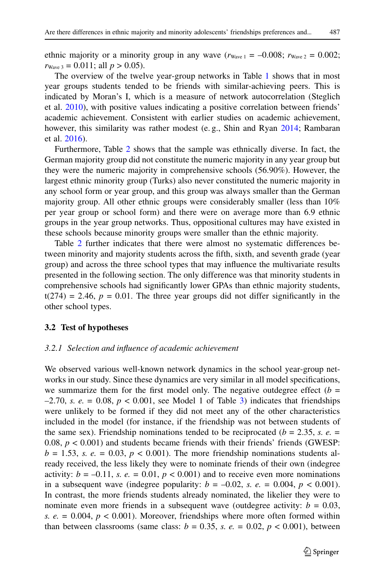ethnic majority or a minority group in any wave  $(r_{\text{Wave 1}} = -0.008; r_{\text{Wave 2}} = 0.002;$  $r_{\text{Wave }3} = 0.011$ ; all  $p > 0.05$ ).

The overview of the twelve year-group networks in Table [1](#page-7-1) shows that in most year groups students tended to be friends with similar-achieving peers. This is indicated by Moran's I, which is a measure of network autocorrelation (Steglich et al. [2010\)](#page-23-15), with positive values indicating a positive correlation between friends' academic achievement. Consistent with earlier studies on academic achievement, however, this similarity was rather modest (e.g., Shin and Ryan [2014;](#page-23-10) Rambaran et al. [2016\)](#page-23-7).

Furthermore, Table [2](#page-8-0) shows that the sample was ethnically diverse. In fact, the German majority group did not constitute the numeric majority in any year group but they were the numeric majority in comprehensive schools (56.90%). However, the largest ethnic minority group (Turks) also never constituted the numeric majority in any school form or year group, and this group was always smaller than the German majority group. All other ethnic groups were considerably smaller (less than 10% per year group or school form) and there were on average more than 6.9 ethnic groups in the year group networks. Thus, oppositional cultures may have existed in these schools because minority groups were smaller than the ethnic majority.

Table [2](#page-8-0) further indicates that there were almost no systematic differences between minority and majority students across the fifth, sixth, and seventh grade (year group) and across the three school types that may influence the multivariate results presented in the following section. The only difference was that minority students in comprehensive schools had significantly lower GPAs than ethnic majority students,  $t(274) = 2.46$ ,  $p = 0.01$ . The three year groups did not differ significantly in the other school types.

# **3.2 Test of hypotheses**

### *3.2.1 Selection and influence of academic achievement*

We observed various well-known network dynamics in the school year-group networks in our study. Since these dynamics are very similar in all model specifications, we summarize them for the first model only. The negative outdegree effect  $(b =$  $-2.70$ , *s. e.* = 0.08,  $p < 0.001$ , see Model 1 of Table [3\)](#page-13-0) indicates that friendships were unlikely to be formed if they did not meet any of the other characteristics included in the model (for instance, if the friendship was not between students of the same sex). Friendship nominations tended to be reciprocated ( $b = 2.35$ , s.  $e =$ 0.08,  $p < 0.001$ ) and students became friends with their friends' friends (GWESP:  $b = 1.53$ , *s. e.* = 0.03,  $p < 0.001$ ). The more friendship nominations students already received, the less likely they were to nominate friends of their own (indegree activity:  $b = -0.11$ , *s. e.* = 0.01,  $p < 0.001$ ) and to receive even more nominations in a subsequent wave (indegree popularity:  $b = -0.02$ , *s. e.* = 0.004,  $p < 0.001$ ). In contrast, the more friends students already nominated, the likelier they were to nominate even more friends in a subsequent wave (outdegree activity:  $b = 0.03$ , *s. e.* = 0.004,  $p$  < 0.001). Moreover, friendships where more often formed within than between classrooms (same class:  $b = 0.35$ , s.  $e = 0.02$ ,  $p < 0.001$ ), between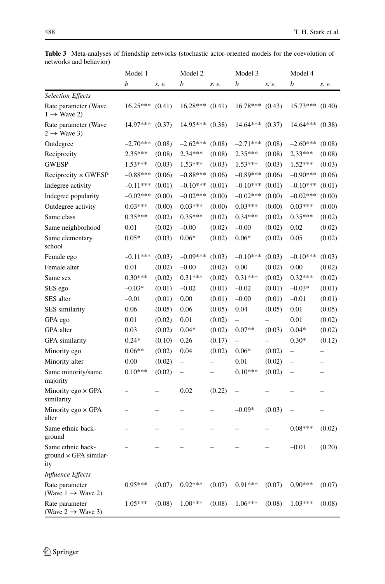<span id="page-13-0"></span>

|                                                          | Model 1    |        | Model 2                  |        | Model 3                  |        | Model 4                  |                          |
|----------------------------------------------------------|------------|--------|--------------------------|--------|--------------------------|--------|--------------------------|--------------------------|
|                                                          | b          | s. e.  | b                        | s. e.  | b                        | s. e.  | b                        | s. e.                    |
| <b>Selection Effects</b>                                 |            |        |                          |        |                          |        |                          |                          |
| Rate parameter (Wave<br>$1 \rightarrow$ Wave 2)          | 16.25***   | (0.41) | 16.28***                 | (0.41) | 16.78***                 | (0.43) | 15.73***                 | (0.40)                   |
| Rate parameter (Wave<br>$2 \rightarrow$ Wave 3)          | 14.97***   | (0.37) | 14.95***                 | (0.38) | 14.64***                 | (0.37) | 14.64***                 | (0.38)                   |
| Outdegree                                                | $-2.70***$ | (0.08) | $-2.62***$               | (0.08) | $-2.71***$               | (0.08) | $-2.60***$               | (0.08)                   |
| Reciprocity                                              | $2.35***$  | (0.08) | $2.34***$                | (0.08) | 2.35***                  | (0.08) | 2.33***                  | (0.08)                   |
| <b>GWESP</b>                                             | $1.53***$  | (0.03) | $1.53***$                | (0.03) | $1.53***$                | (0.03) | $1.52***$                | (0.03)                   |
| $Reciprocity \times GWESP$                               | $-0.88***$ | (0.06) | $-0.88***$               | (0.06) | $-0.89***$               | (0.06) | $-0.90***$               | (0.06)                   |
| Indegree activity                                        | $-0.11***$ | (0.01) | $-0.10***$               | (0.01) | $-0.10***$               | (0.01) | $-0.10***$               | (0.01)                   |
| Indegree popularity                                      | $-0.02***$ | (0.00) | $-0.02***$               | (0.00) | $-0.02***$               | (0.00) | $-0.02***$               | (0.00)                   |
| Outdegree activity                                       | $0.03***$  | (0.00) | $0.03***$                | (0.00) | $0.03***$                | (0.00) | $0.03***$                | (0.00)                   |
| Same class                                               | $0.35***$  | (0.02) | $0.35***$                | (0.02) | $0.34***$                | (0.02) | $0.35***$                | (0.02)                   |
| Same neighborhood                                        | 0.01       | (0.02) | $-0.00$                  | (0.02) | $-0.00$                  | (0.02) | 0.02                     | (0.02)                   |
| Same elementary<br>school                                | $0.05*$    | (0.03) | $0.06*$                  | (0.02) | $0.06*$                  | (0.02) | 0.05                     | (0.02)                   |
| Female ego                                               | $-0.11***$ | (0.03) | $-0.09***$               | (0.03) | $-0.10***$               | (0.03) | $-0.10***$               | (0.03)                   |
| Female alter                                             | 0.01       | (0.02) | $-0.00$                  | (0.02) | 0.00                     | (0.02) | 0.00                     | (0.02)                   |
| Same sex                                                 | $0.30***$  | (0.02) | $0.31***$                | (0.02) | $0.31***$                | (0.02) | $0.32***$                | (0.02)                   |
| SES ego                                                  | $-0.03*$   | (0.01) | $-0.02$                  | (0.01) | $-0.02$                  | (0.01) | $-0.03*$                 | (0.01)                   |
| SES alter                                                | $-0.01$    | (0.01) | 0.00                     | (0.01) | $-0.00$                  | (0.01) | $-0.01$                  | (0.01)                   |
| <b>SES</b> similarity                                    | 0.06       | (0.05) | 0.06                     | (0.05) | 0.04                     | (0.05) | 0.01                     | (0.05)                   |
| GPA ego                                                  | 0.01       | (0.02) | 0.01                     | (0.02) | -                        |        | 0.01                     | (0.02)                   |
| GPA alter                                                | 0.03       | (0.02) | $0.04*$                  | (0.02) | $0.07**$                 | (0.03) | $0.04*$                  | (0.02)                   |
| <b>GPA</b> similarity                                    | $0.24*$    | (0.10) | 0.26                     | (0.17) | $\overline{\phantom{0}}$ |        | $0.30*$                  | (0.12)                   |
| Minority ego                                             | $0.06**$   | (0.02) | 0.04                     | (0.02) | $0.06*$                  | (0.02) | $\overline{\phantom{0}}$ |                          |
| Minority alter                                           | 0.00       | (0.02) | $\overline{\phantom{0}}$ |        | 0.01                     | (0.02) | $\overline{a}$           | $\overline{\phantom{0}}$ |
| Same minority/same<br>majority                           | $0.10***$  | (0.02) | $\overline{a}$           |        | $0.10***$                | (0.02) | $\overline{\phantom{0}}$ | -                        |
| Minority ego $\times$ GPA<br>similarity                  |            |        | 0.02                     | (0.22) |                          |        |                          |                          |
| Minority ego $\times$ GPA<br>alter                       |            |        |                          |        | $-0.09*$                 | (0.03) |                          | $\overline{\phantom{0}}$ |
| Same ethnic back-<br>ground                              |            |        |                          |        |                          |        | $0.08***$                | (0.02)                   |
| Same ethnic back-<br>ground $\times$ GPA similar-<br>ity |            |        |                          |        |                          |        | $-0.01$                  | (0.20)                   |
| Influence Effects                                        |            |        |                          |        |                          |        |                          |                          |
| Rate parameter<br>(Wave $1 \rightarrow$ Wave 2)          | $0.95***$  | (0.07) | $0.92***$                | (0.07) | $0.91***$                | (0.07) | $0.90***$                | (0.07)                   |
| Rate parameter<br>(Wave $2 \rightarrow$ Wave 3)          | 1.05***    | (0.08) | $1.00***$                | (0.08) | $1.06***$                | (0.08) | $1.03***$                | (0.08)                   |

Table 3 Meta-analyses of friendship networks (stochastic actor-oriented models for the coevolution of networks and behavior)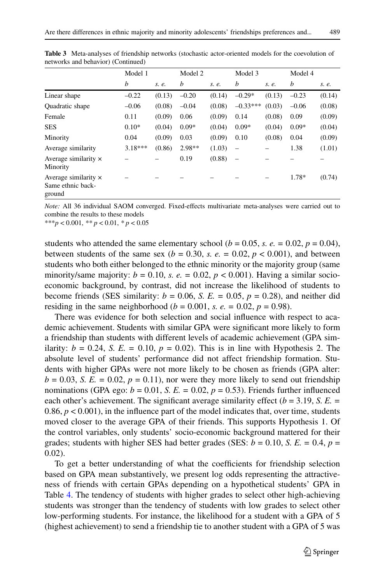|                                                            | Model 1   |        | Model 2 |        | Model 3                  |        | Model 4 |        |
|------------------------------------------------------------|-----------|--------|---------|--------|--------------------------|--------|---------|--------|
|                                                            | b         | s. e.  | b       | s. e.  | b                        | s. e.  | b       | s. e.  |
| Linear shape                                               | $-0.22$   | (0.13) | $-0.20$ | (0.14) | $-0.29*$                 | (0.13) | $-0.23$ | (0.14) |
| Quadratic shape                                            | $-0.06$   | (0.08) | $-0.04$ | (0.08) | $-0.33***$               | (0.03) | $-0.06$ | (0.08) |
| Female                                                     | 0.11      | (0.09) | 0.06    | (0.09) | 0.14                     | (0.08) | 0.09    | (0.09) |
| <b>SES</b>                                                 | $0.10*$   | (0.04) | $0.09*$ | (0.04) | $0.09*$                  | (0.04) | $0.09*$ | (0.04) |
| Minority                                                   | 0.04      | (0.09) | 0.03    | (0.09) | 0.10                     | (0.08) | 0.04    | (0.09) |
| Average similarity                                         | $3.18***$ | (0.86) | 2.98**  | (1.03) | $\overline{\phantom{m}}$ |        | 1.38    | (1.01) |
| Average similarity $\times$<br>Minority                    |           |        | 0.19    | (0.88) | $\overline{\phantom{m}}$ |        |         |        |
| Average similarity $\times$<br>Same ethnic back-<br>ground |           |        |         |        |                          |        | 1.78*   | (0.74) |

**Table 3** Meta-analyses of friendship networks (stochastic actor-oriented models for the coevolution of networks and behavior) (Continued)

*Note:* All 36 individual SAOM converged. Fixed-effects multivariate meta-analyses were carried out to combine the results to these models

\*\*\**p* < 0.001, *\*\* p* < 0.01, *\* p* < 0.05

students who attended the same elementary school ( $b = 0.05$ ,  $s. e. = 0.02$ ,  $p = 0.04$ ), between students of the same sex ( $b = 0.30$ , s.  $e = 0.02$ ,  $p < 0.001$ ), and between students who both either belonged to the ethnic minority or the majority group (same minority/same majority:  $b = 0.10$ ,  $s$ .  $e = 0.02$ ,  $p < 0.001$ ). Having a similar socioeconomic background, by contrast, did not increase the likelihood of students to become friends (SES similarity:  $b = 0.06$ , *S. E.* = 0.05,  $p = 0.28$ ), and neither did residing in the same neighborhood ( $b = 0.001$ , *s. e.* = 0.02,  $p = 0.98$ ).

There was evidence for both selection and social influence with respect to academic achievement. Students with similar GPA were significant more likely to form a friendship than students with different levels of academic achievement (GPA similarity:  $b = 0.24$ , *S. E.* = 0.10,  $p = 0.02$ ). This is in line with Hypothesis 2. The absolute level of students' performance did not affect friendship formation. Students with higher GPAs were not more likely to be chosen as friends (GPA alter:  $b = 0.03$ , *S. E.* = 0.02,  $p = 0.11$ , nor were they more likely to send out friendship nominations (GPA ego:  $b = 0.01$ , *S. E.* = 0.02,  $p = 0.53$ ). Friends further influenced each other's achievement. The significant average similarity effect ( $b = 3.19$ , *S. E.* = 0.86,  $p < 0.001$ ), in the influence part of the model indicates that, over time, students moved closer to the average GPA of their friends. This supports Hypothesis 1. Of the control variables, only students' socio-economic background mattered for their grades; students with higher SES had better grades (SES:  $b = 0.10$ , *S. E.* = 0.4,  $p =$ 0.02).

To get a better understanding of what the coefficients for friendship selection based on GPA mean substantively, we present log odds representing the attractiveness of friends with certain GPAs depending on a hypothetical students' GPA in Table [4.](#page-15-0) The tendency of students with higher grades to select other high-achieving students was stronger than the tendency of students with low grades to select other low-performing students. For instance, the likelihood for a student with a GPA of 5 (highest achievement) to send a friendship tie to another student with a GPA of 5 was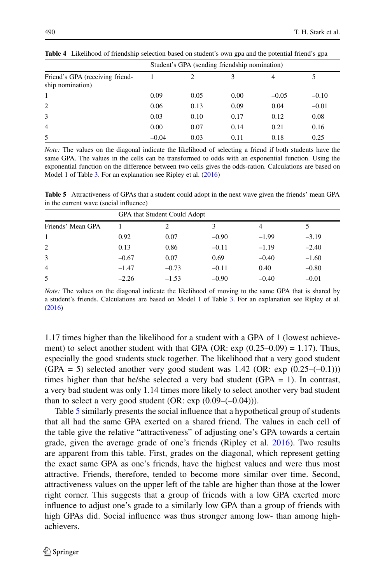|                                                     | Student's GPA (sending friendship nomination) |      |      |         |         |  |  |  |
|-----------------------------------------------------|-----------------------------------------------|------|------|---------|---------|--|--|--|
| Friend's GPA (receiving friend-<br>ship nomination) |                                               | 2    | 3    | 4       |         |  |  |  |
| 1                                                   | 0.09                                          | 0.05 | 0.00 | $-0.05$ | $-0.10$ |  |  |  |
| 2                                                   | 0.06                                          | 0.13 | 0.09 | 0.04    | $-0.01$ |  |  |  |
| 3                                                   | 0.03                                          | 0.10 | 0.17 | 0.12    | 0.08    |  |  |  |
| $\overline{4}$                                      | 0.00                                          | 0.07 | 0.14 | 0.21    | 0.16    |  |  |  |
| 5                                                   | $-0.04$                                       | 0.03 | 0.11 | 0.18    | 0.25    |  |  |  |

<span id="page-15-0"></span>**Table 4** Likelihood of friendship selection based on student's own gpa and the potential friend's gpa

*Note:* The values on the diagonal indicate the likelihood of selecting a friend if both students have the same GPA. The values in the cells can be transformed to odds with an exponential function. Using the exponential function on the difference between two cells gives the odds-ration. Calculations are based on Model 1 of Table [3.](#page-13-0) For an explanation see Ripley et al.  $(2016)$ 

<span id="page-15-1"></span>**Table 5** Attractiveness of GPAs that a student could adopt in the next wave given the friends' mean GPA in the current wave (social influence)

|                   | GPA that Student Could Adopt |         |         |                |         |  |  |  |  |  |
|-------------------|------------------------------|---------|---------|----------------|---------|--|--|--|--|--|
| Friends' Mean GPA |                              | 2       | 3       | $\overline{4}$ |         |  |  |  |  |  |
| 1                 | 0.92                         | 0.07    | $-0.90$ | $-1.99$        | $-3.19$ |  |  |  |  |  |
| 2                 | 0.13                         | 0.86    | $-0.11$ | $-1.19$        | $-2.40$ |  |  |  |  |  |
| 3                 | $-0.67$                      | 0.07    | 0.69    | $-0.40$        | $-1.60$ |  |  |  |  |  |
| $\overline{4}$    | $-1.47$                      | $-0.73$ | $-0.11$ | 0.40           | $-0.80$ |  |  |  |  |  |
| 5                 | $-2.26$                      | $-1.53$ | $-0.90$ | $-0.40$        | $-0.01$ |  |  |  |  |  |

*Note:* The values on the diagonal indicate the likelihood of moving to the same GPA that is shared by a student's friends. Calculations are based on Model 1 of Table [3.](#page-13-0) For an explanation see Ripley et al. [\(2016\)](#page-23-13)

1.17 times higher than the likelihood for a student with a GPA of 1 (lowest achievement) to select another student with that GPA (OR:  $\exp(0.25-0.09) = 1.17$ ). Thus, especially the good students stuck together. The likelihood that a very good student  $(GPA = 5)$  selected another very good student was 1.42 (OR: exp  $(0.25 - (-0.1))$ ) times higher than that he/she selected a very bad student (GPA  $= 1$ ). In contrast, a very bad student was only 1.14 times more likely to select another very bad student than to select a very good student  $(OR: exp(0.09-(-0.04)))$ .

Table [5](#page-15-1) similarly presents the social influence that a hypothetical group of students that all had the same GPA exerted on a shared friend. The values in each cell of the table give the relative "attractiveness" of adjusting one's GPA towards a certain grade, given the average grade of one's friends (Ripley et al. [2016\)](#page-23-13). Two results are apparent from this table. First, grades on the diagonal, which represent getting the exact same GPA as one's friends, have the highest values and were thus most attractive. Friends, therefore, tended to become more similar over time. Second, attractiveness values on the upper left of the table are higher than those at the lower right corner. This suggests that a group of friends with a low GPA exerted more influence to adjust one's grade to a similarly low GPA than a group of friends with high GPAs did. Social influence was thus stronger among low- than among highachievers.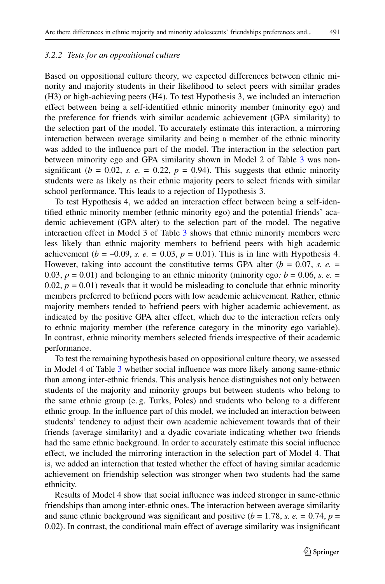# *3.2.2 Tests for an oppositional culture*

Based on oppositional culture theory, we expected differences between ethnic minority and majority students in their likelihood to select peers with similar grades (H3) or high-achieving peers (H4). To test Hypothesis 3, we included an interaction effect between being a self-identified ethnic minority member (minority ego) and the preference for friends with similar academic achievement (GPA similarity) to the selection part of the model. To accurately estimate this interaction, a mirroring interaction between average similarity and being a member of the ethnic minority was added to the influence part of the model. The interaction in the selection part between minority ego and GPA similarity shown in Model 2 of Table [3](#page-13-0) was nonsignificant ( $b = 0.02$ , *s. e.* = 0.22,  $p = 0.94$ ). This suggests that ethnic minority students were as likely as their ethnic majority peers to select friends with similar school performance. This leads to a rejection of Hypothesis 3.

To test Hypothesis 4, we added an interaction effect between being a self-identified ethnic minority member (ethnic minority ego) and the potential friends' academic achievement (GPA alter) to the selection part of the model. The negative interaction effect in Model 3 of Table [3](#page-13-0) shows that ethnic minority members were less likely than ethnic majority members to befriend peers with high academic achievement ( $b = -0.09$ , *s. e.* = 0.03,  $p = 0.01$ ). This is in line with Hypothesis 4. However, taking into account the constitutive terms GPA alter (*b* = 0.07, *s. e. =* 0.03,  $p = 0.01$ ) and belonging to an ethnic minority (minority ego:  $b = 0.06$ , *s. e.* = 0.02,  $p = 0.01$ ) reveals that it would be misleading to conclude that ethnic minority members preferred to befriend peers with low academic achievement. Rather, ethnic majority members tended to befriend peers with higher academic achievement, as indicated by the positive GPA alter effect, which due to the interaction refers only to ethnic majority member (the reference category in the minority ego variable). In contrast, ethnic minority members selected friends irrespective of their academic performance.

To test the remaining hypothesis based on oppositional culture theory, we assessed in Model 4 of Table [3](#page-13-0) whether social influence was more likely among same-ethnic than among inter-ethnic friends. This analysis hence distinguishes not only between students of the majority and minority groups but between students who belong to the same ethnic group (e. g. Turks, Poles) and students who belong to a different ethnic group. In the influence part of this model, we included an interaction between students' tendency to adjust their own academic achievement towards that of their friends (average similarity) and a dyadic covariate indicating whether two friends had the same ethnic background. In order to accurately estimate this social influence effect, we included the mirroring interaction in the selection part of Model 4. That is, we added an interaction that tested whether the effect of having similar academic achievement on friendship selection was stronger when two students had the same ethnicity.

Results of Model 4 show that social influence was indeed stronger in same-ethnic friendships than among inter-ethnic ones. The interaction between average similarity and same ethnic background was significant and positive ( $b = 1.78$ , s.  $e = 0.74$ ,  $p =$ 0.02). In contrast, the conditional main effect of average similarity was insignificant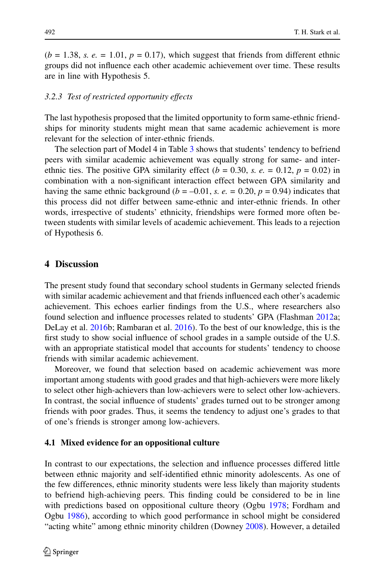$(b = 1.38, s. e. = 1.01, p = 0.17)$ , which suggest that friends from different ethnic groups did not influence each other academic achievement over time. These results are in line with Hypothesis 5.

### *3.2.3 Test of restricted opportunity effects*

The last hypothesis proposed that the limited opportunity to form same-ethnic friendships for minority students might mean that same academic achievement is more relevant for the selection of inter-ethnic friends.

The selection part of Model 4 in Table [3](#page-13-0) shows that students' tendency to befriend peers with similar academic achievement was equally strong for same- and interethnic ties. The positive GPA similarity effect  $(b = 0.30, s. e. = 0.12, p = 0.02)$  in combination with a non-significant interaction effect between GPA similarity and having the same ethnic background ( $b = -0.01$ , *s. e.* = 0.20,  $p = 0.94$ ) indicates that this process did not differ between same-ethnic and inter-ethnic friends. In other words, irrespective of students' ethnicity, friendships were formed more often between students with similar levels of academic achievement. This leads to a rejection of Hypothesis 6.

# **4 Discussion**

The present study found that secondary school students in Germany selected friends with similar academic achievement and that friends influenced each other's academic achievement. This echoes earlier findings from the U.S., where researchers also found selection and influence processes related to students' GPA (Flashman [2012a](#page-22-5); DeLay et al. [2016b](#page-22-12); Rambaran et al. [2016\)](#page-23-7). To the best of our knowledge, this is the first study to show social influence of school grades in a sample outside of the U.S. with an appropriate statistical model that accounts for students' tendency to choose friends with similar academic achievement.

Moreover, we found that selection based on academic achievement was more important among students with good grades and that high-achievers were more likely to select other high-achievers than low-achievers were to select other low-achievers. In contrast, the social influence of students' grades turned out to be stronger among friends with poor grades. Thus, it seems the tendency to adjust one's grades to that of one's friends is stronger among low-achievers.

## **4.1 Mixed evidence for an oppositional culture**

In contrast to our expectations, the selection and influence processes differed little between ethnic majority and self-identified ethnic minority adolescents. As one of the few differences, ethnic minority students were less likely than majority students to befriend high-achieving peers. This finding could be considered to be in line with predictions based on oppositional culture theory (Ogbu [1978;](#page-22-14) Fordham and Ogbu [1986\)](#page-22-15), according to which good performance in school might be considered "acting white" among ethnic minority children (Downey [2008\)](#page-22-16). However, a detailed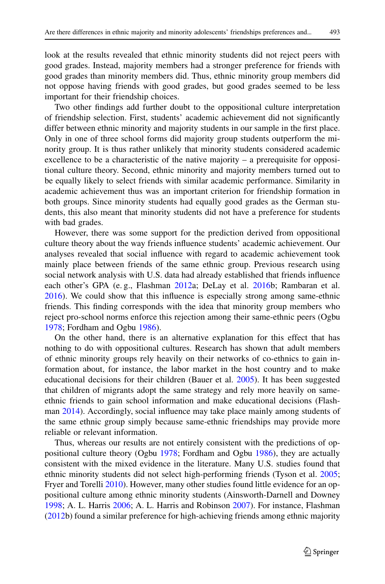look at the results revealed that ethnic minority students did not reject peers with good grades. Instead, majority members had a stronger preference for friends with good grades than minority members did. Thus, ethnic minority group members did not oppose having friends with good grades, but good grades seemed to be less important for their friendship choices.

Two other findings add further doubt to the oppositional culture interpretation of friendship selection. First, students' academic achievement did not significantly differ between ethnic minority and majority students in our sample in the first place. Only in one of three school forms did majority group students outperform the minority group. It is thus rather unlikely that minority students considered academic excellence to be a characteristic of the native majority  $-$  a prerequisite for oppositional culture theory. Second, ethnic minority and majority members turned out to be equally likely to select friends with similar academic performance. Similarity in academic achievement thus was an important criterion for friendship formation in both groups. Since minority students had equally good grades as the German students, this also meant that minority students did not have a preference for students with bad grades.

However, there was some support for the prediction derived from oppositional culture theory about the way friends influence students' academic achievement. Our analyses revealed that social influence with regard to academic achievement took mainly place between friends of the same ethnic group. Previous research using social network analysis with U.S. data had already established that friends influence each other's GPA (e. g., Flashman [2012a](#page-22-5); DeLay et al. [2016b](#page-22-12); Rambaran et al. [2016\)](#page-23-7). We could show that this influence is especially strong among same-ethnic friends. This finding corresponds with the idea that minority group members who reject pro-school norms enforce this rejection among their same-ethnic peers (Ogbu [1978;](#page-22-14) Fordham and Ogbu [1986\)](#page-22-15).

On the other hand, there is an alternative explanation for this effect that has nothing to do with oppositional cultures. Research has shown that adult members of ethnic minority groups rely heavily on their networks of co-ethnics to gain information about, for instance, the labor market in the host country and to make educational decisions for their children (Bauer et al. [2005\)](#page-21-13). It has been suggested that children of migrants adopt the same strategy and rely more heavily on sameethnic friends to gain school information and make educational decisions (Flashman [2014\)](#page-22-24). Accordingly, social influence may take place mainly among students of the same ethnic group simply because same-ethnic friendships may provide more reliable or relevant information.

Thus, whereas our results are not entirely consistent with the predictions of oppositional culture theory (Ogbu [1978;](#page-22-14) Fordham and Ogbu [1986\)](#page-22-15), they are actually consistent with the mixed evidence in the literature. Many U.S. studies found that ethnic minority students did not select high-performing friends (Tyson et al. [2005;](#page-23-11) Fryer and Torelli [2010\)](#page-22-25). However, many other studies found little evidence for an oppositional culture among ethnic minority students (Ainsworth-Darnell and Downey [1998;](#page-21-14) A. L. Harris [2006;](#page-22-26) A. L. Harris and Robinson [2007\)](#page-22-27). For instance, Flashman [\(2012b](#page-22-18)) found a similar preference for high-achieving friends among ethnic majority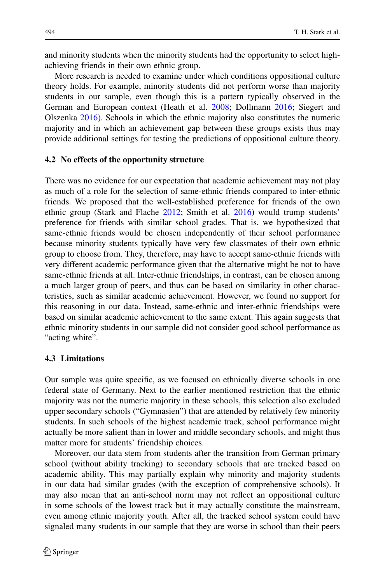and minority students when the minority students had the opportunity to select highachieving friends in their own ethnic group.

More research is needed to examine under which conditions oppositional culture theory holds. For example, minority students did not perform worse than majority students in our sample, even though this is a pattern typically observed in the German and European context (Heath et al. [2008;](#page-22-0) Dollmann [2016;](#page-22-1) Siegert and Olszenka [2016\)](#page-23-0). Schools in which the ethnic majority also constitutes the numeric majority and in which an achievement gap between these groups exists thus may provide additional settings for testing the predictions of oppositional culture theory.

# **4.2 No effects of the opportunity structure**

There was no evidence for our expectation that academic achievement may not play as much of a role for the selection of same-ethnic friends compared to inter-ethnic friends. We proposed that the well-established preference for friends of the own ethnic group (Stark and Flache [2012;](#page-23-3) Smith et al. [2016\)](#page-23-9) would trump students' preference for friends with similar school grades. That is, we hypothesized that same-ethnic friends would be chosen independently of their school performance because minority students typically have very few classmates of their own ethnic group to choose from. They, therefore, may have to accept same-ethnic friends with very different academic performance given that the alternative might be not to have same-ethnic friends at all. Inter-ethnic friendships, in contrast, can be chosen among a much larger group of peers, and thus can be based on similarity in other characteristics, such as similar academic achievement. However, we found no support for this reasoning in our data. Instead, same-ethnic and inter-ethnic friendships were based on similar academic achievement to the same extent. This again suggests that ethnic minority students in our sample did not consider good school performance as "acting white".

# **4.3 Limitations**

Our sample was quite specific, as we focused on ethnically diverse schools in one federal state of Germany. Next to the earlier mentioned restriction that the ethnic majority was not the numeric majority in these schools, this selection also excluded upper secondary schools ("Gymnasien") that are attended by relatively few minority students. In such schools of the highest academic track, school performance might actually be more salient than in lower and middle secondary schools, and might thus matter more for students' friendship choices.

Moreover, our data stem from students after the transition from German primary school (without ability tracking) to secondary schools that are tracked based on academic ability. This may partially explain why minority and majority students in our data had similar grades (with the exception of comprehensive schools). It may also mean that an anti-school norm may not reflect an oppositional culture in some schools of the lowest track but it may actually constitute the mainstream, even among ethnic majority youth. After all, the tracked school system could have signaled many students in our sample that they are worse in school than their peers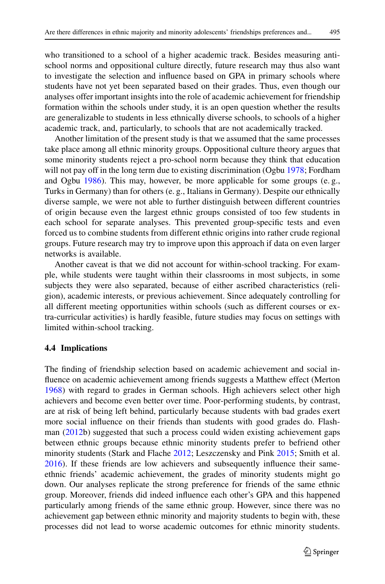who transitioned to a school of a higher academic track. Besides measuring antischool norms and oppositional culture directly, future research may thus also want to investigate the selection and influence based on GPA in primary schools where students have not yet been separated based on their grades. Thus, even though our analyses offer important insights into the role of academic achievement for friendship formation within the schools under study, it is an open question whether the results are generalizable to students in less ethnically diverse schools, to schools of a higher academic track, and, particularly, to schools that are not academically tracked.

Another limitation of the present study is that we assumed that the same processes take place among all ethnic minority groups. Oppositional culture theory argues that some minority students reject a pro-school norm because they think that education will not pay off in the long term due to existing discrimination (Ogbu [1978;](#page-22-14) Fordham and Ogbu [1986\)](#page-22-15). This may, however, be more applicable for some groups (e. g., Turks in Germany) than for others (e. g., Italians in Germany). Despite our ethnically diverse sample, we were not able to further distinguish between different countries of origin because even the largest ethnic groups consisted of too few students in each school for separate analyses. This prevented group-specific tests and even forced us to combine students from different ethnic origins into rather crude regional groups. Future research may try to improve upon this approach if data on even larger networks is available.

Another caveat is that we did not account for within-school tracking. For example, while students were taught within their classrooms in most subjects, in some subjects they were also separated, because of either ascribed characteristics (religion), academic interests, or previous achievement. Since adequately controlling for all different meeting opportunities within schools (such as different courses or extra-curricular activities) is hardly feasible, future studies may focus on settings with limited within-school tracking.

# **4.4 Implications**

The finding of friendship selection based on academic achievement and social influence on academic achievement among friends suggests a Matthew effect (Merton [1968\)](#page-22-6) with regard to grades in German schools. High achievers select other high achievers and become even better over time. Poor-performing students, by contrast, are at risk of being left behind, particularly because students with bad grades exert more social influence on their friends than students with good grades do. Flashman [\(2012b](#page-22-18)) suggested that such a process could widen existing achievement gaps between ethnic groups because ethnic minority students prefer to befriend other minority students (Stark and Flache [2012;](#page-23-3) Leszczensky and Pink [2015;](#page-22-4) Smith et al. [2016\)](#page-23-9). If these friends are low achievers and subsequently influence their sameethnic friends' academic achievement, the grades of minority students might go down. Our analyses replicate the strong preference for friends of the same ethnic group. Moreover, friends did indeed influence each other's GPA and this happened particularly among friends of the same ethnic group. However, since there was no achievement gap between ethnic minority and majority students to begin with, these processes did not lead to worse academic outcomes for ethnic minority students.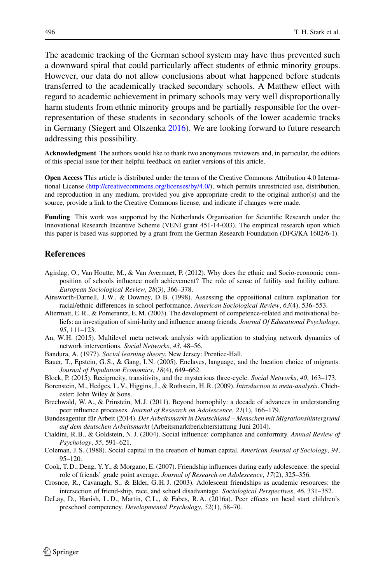The academic tracking of the German school system may have thus prevented such a downward spiral that could particularly affect students of ethnic minority groups. However, our data do not allow conclusions about what happened before students transferred to the academically tracked secondary schools. A Matthew effect with regard to academic achievement in primary schools may very well disproportionally harm students from ethnic minority groups and be partially responsible for the overrepresentation of these students in secondary schools of the lower academic tracks in Germany (Siegert and Olszenka [2016\)](#page-23-0). We are looking forward to future research addressing this possibility.

**Acknowledgment** The authors would like to thank two anonymous reviewers and, in particular, the editors of this special issue for their helpful feedback on earlier versions of this article.

**Open Access** This article is distributed under the terms of the Creative Commons Attribution 4.0 International License [\(http://creativecommons.org/licenses/by/4.0/\)](http://creativecommons.org/licenses/by/4.0/), which permits unrestricted use, distribution, and reproduction in any medium, provided you give appropriate credit to the original author(s) and the source, provide a link to the Creative Commons license, and indicate if changes were made.

**Funding** This work was supported by the Netherlands Organisation for Scientific Research under the Innovational Research Incentive Scheme (VENI grant 451-14-003). The empirical research upon which this paper is based was supported by a grant from the German Research Foundation (DFG/KA 1602/6-1).

### **References**

- <span id="page-21-0"></span>Agirdag, O., Van Houtte, M., & Van Avermaet, P. (2012). Why does the ethnic and Socio-economic composition of schools influence math achievement? The role of sense of futility and futility culture. *European Sociological Review*, *28*(3), 366–378.
- <span id="page-21-14"></span>Ainsworth-Darnell, J.W., & Downey, D.B. (1998). Assessing the oppositional culture explanation for racial/ethnic differences in school performance. *American Sociological Review*, *63*(4), 536–553.
- <span id="page-21-3"></span>Altermatt, E.R., & Pomerantz, E.M. (2003). The development of competence-related and motivational beliefs: an investigation of simi-larity and influence among friends. *Journal Of Educational Psychology*, *95*, 111–123.
- <span id="page-21-10"></span><span id="page-21-2"></span>An, W. H. (2015). Multilevel meta network analysis with application to studying network dynamics of network interventions. *Social Networks*, *43*, 48–56.
- <span id="page-21-13"></span>Bandura, A. (1977). *Social learning theory*. New Jersey: Prentice-Hall.
- Bauer, T., Epstein, G. S., & Gang, I. N. (2005). Enclaves, language, and the location choice of migrants. *Journal of Population Economics*, *18*(4), 649–662.
- <span id="page-21-12"></span><span id="page-21-11"></span>Block, P. (2015). Reciprocity, transitivity, and the mysterious three-cycle. *Social Networks*, *40*, 163–173.
- <span id="page-21-6"></span>Borenstein, M., Hedges, L. V., Higgins, J., & Rothstein, H.R. (2009). *Introduction to meta-analysis*. Chichester: John Wiley & Sons.
- Brechwald, W. A., & Prinstein, M. J. (2011). Beyond homophily: a decade of advances in understanding peer influence processes. *Journal of Research on Adolescence*, *21*(1), 166–179.
- <span id="page-21-9"></span>Bundesagentur für Arbeit (2014). *Der Arbeitsmarkt in Deutschland – Menschen mit Migrationshintergrund auf dem deutschen Arbeitsmarkt* (Arbeitsmarktberichterstattung Juni 2014).
- <span id="page-21-4"></span>Cialdini, R.B., & Goldstein, N. J. (2004). Social influence: compliance and conformity. *Annual Review of Psychology*, *55*, 591–621.
- <span id="page-21-1"></span>Coleman, J. S. (1988). Social capital in the creation of human capital. *American Journal of Sociology*, *94*, 95–120.
- <span id="page-21-7"></span>Cook, T. D., Deng, Y. Y., & Morgano, E. (2007). Friendship influences during early adolescence: the special role of friends' grade point average. *Journal of Research on Adolescence*, *17*(2), 325–356.
- <span id="page-21-5"></span>Crosnoe, R., Cavanagh, S., & Elder, G. H. J. (2003). Adolescent friendships as academic resources: the intersection of friend-ship, race, and school disadvantage. *Sociological Perspectives*, *46*, 331–352.
- <span id="page-21-8"></span>DeLay, D., Hanish, L. D., Martin, C. L., & Fabes, R. A. (2016a). Peer effects on head start children's preschool competency. *Developmental Psychology*, *52*(1), 58–70.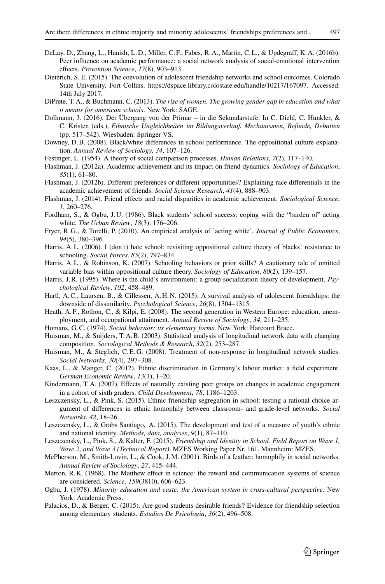- <span id="page-22-12"></span>DeLay, D., Zhang, L., Hanish, L. D., Miller, C. F., Fabes, R. A., Martin, C. L., & Updegraff, K. A. (2016b). Peer influence on academic performance: a social network analysis of social-emotional intervention effects. *Prevention Science*, *17*(8), 903–913.
- <span id="page-22-11"></span>Dieterich, S. E. (2015). The coevolution of adolescent friendship networks and school outcomes. Colorado State University, Fort Collins. https://dspace.library.colostate.edu/handle/10217/167097. Accessed: 14th July 2017.
- <span id="page-22-23"></span><span id="page-22-1"></span>DiPrete, T. A., & Buchmann, C. (2013). *The rise of women. The growing gender gap in education and what it means for american schools*. New York: SAGE.
- Dollmann, J. (2016). Der Übergang von der Primar in die Sekundarstufe. In C. Diehl, C. Hunkler, & C. Kristen (eds.), *Ethnische Ungleichheiten im Bildungsverlauf. Mechanismen, Befunde, Debatten* (pp. 517–542). Wiesbaden: Springer VS.
- <span id="page-22-16"></span><span id="page-22-7"></span>Downey, D.B. (2008). Black/white differences in school performance. The oppositional culture explanation. *Annual Review of Sociology*, *34*, 107–126.
- <span id="page-22-5"></span>Festinger, L. (1954). A theory of social comparison processes. *Human Relations*, *7*(2), 117–140.
- <span id="page-22-18"></span>Flashman, J. (2012a). Academic achievement and its impact on friend dynamics. *Sociology of Education*, *85*(1), 61–80.
- Flashman, J. (2012b). Different preferences or different opportunities? Explaining race differentials in the academic achievement of friends. *Social Science Research*, *41*(4), 888–903.
- <span id="page-22-24"></span><span id="page-22-15"></span>Flashman, J. (2014). Friend effects and racial disparities in academic achievement. *Sociological Science*, *1*, 260–276.
- Fordham, S., & Ogbu, J. U. (1986). Black students' school success: coping with the "burden of" acting white. *The Urban Review*, *18*(3), 176–206.
- <span id="page-22-25"></span>Fryer, R. G., & Torelli, P. (2010). An empirical analysis of 'acting white'. *Journal of Public Economics*, *94*(5), 380–396.
- <span id="page-22-26"></span>Harris, A.L. (2006). I (don't) hate school: revisiting oppositional culture theory of blacks' resistance to schooling. *Social Forces*, *85*(2), 797–834.
- <span id="page-22-27"></span>Harris, A.L., & Robinson, K. (2007). Schooling behaviors or prior skills? A cautionary tale of omitted variable bias within oppositional culture theory. *Sociology of Education*, *80*(2), 139–157.
- <span id="page-22-10"></span><span id="page-22-3"></span>Harris, J.R. (1995). Where is the child's environment: a group socialization theory of development. *Psychological Review*, *102*, 458–489.
- Hartl, A.C., Laursen, B., & Cillessen, A.H.N. (2015). A survival analysis of adolescent friendships: the downside of dissimilarity. *Psychological Science*, *26*(8), 1304–1315.
- <span id="page-22-0"></span>Heath, A. F., Rothon, C., & Kilpi, E. (2008). The second generation in Western Europe: education, unemployment, and occupational attainment. *Annual Review of Sociology*, *34*, 211–235.
- <span id="page-22-22"></span><span id="page-22-9"></span>Homans, G.C. (1974). *Social behavior: its elementary forms*. New York: Harcourt Brace.
- <span id="page-22-20"></span>Huisman, M., & Snijders, T. A.B. (2003). Statistical analysis of longitudinal network data with changing composition. *Sociological Methods & Research*, *32*(2), 253–287.
- <span id="page-22-17"></span>Huisman, M., & Steglich, C.E.G. (2008). Treatment of non-response in longitudinal network studies. *Social Networks*, *30*(4), 297–308.
- Kaas, L., & Manger, C. (2012). Ethnic discrimination in Germany's labour market: a field experiment. *German Economic Review*, *13*(1), 1–20.
- <span id="page-22-2"></span>Kindermann, T. A. (2007). Effects of naturally existing peer groups on changes in academic engagement in a cohort of sixth graders. *Child Development*, *78*, 1186–1203.
- <span id="page-22-4"></span>Leszczensky, L., & Pink, S. (2015). Ethnic friendship segregation in school: testing a rational choice argument of differences in ethnic homophily between classroom- and grade-level networks. *Social Networks*, *42*, 18–26.
- <span id="page-22-21"></span>Leszczensky, L., & Gräbs Santiago, A. (2015). The development and test of a measure of youth's ethnic and national identity. *Methods, data, analyses*, *9*(1), 87–110.
- <span id="page-22-19"></span>Leszczensky, L., Pink, S., & Kalter, F. (2015). *Friendship and Identity in School. Field Report on Wave 1, Wave 2, and Wave 3 (Technical Report)*. MZES Working Paper Nr. 161. Mannheim: MZES.
- <span id="page-22-8"></span>McPherson, M., Smith-Lovin, L., & Cook, J.M. (2001). Birds of a feather: homophily in social networks. *Annual Review of Sociology*, *27*, 415–444.
- <span id="page-22-14"></span><span id="page-22-6"></span>Merton, R. K. (1968). The Matthew effect in science: the reward and communication systems of science are considered. *Science*, *159*(3810), 606–623.
- Ogbu, J. (1978). *Minority education and caste: the American system in cross-cultural perspective*. New York: Academic Press.
- <span id="page-22-13"></span>Palacios, D., & Berger, C. (2015). Are good students desirable friends? Evidence for friendship selection among elementary students. *Estudios De Psicologia*, *36*(2), 496–508.